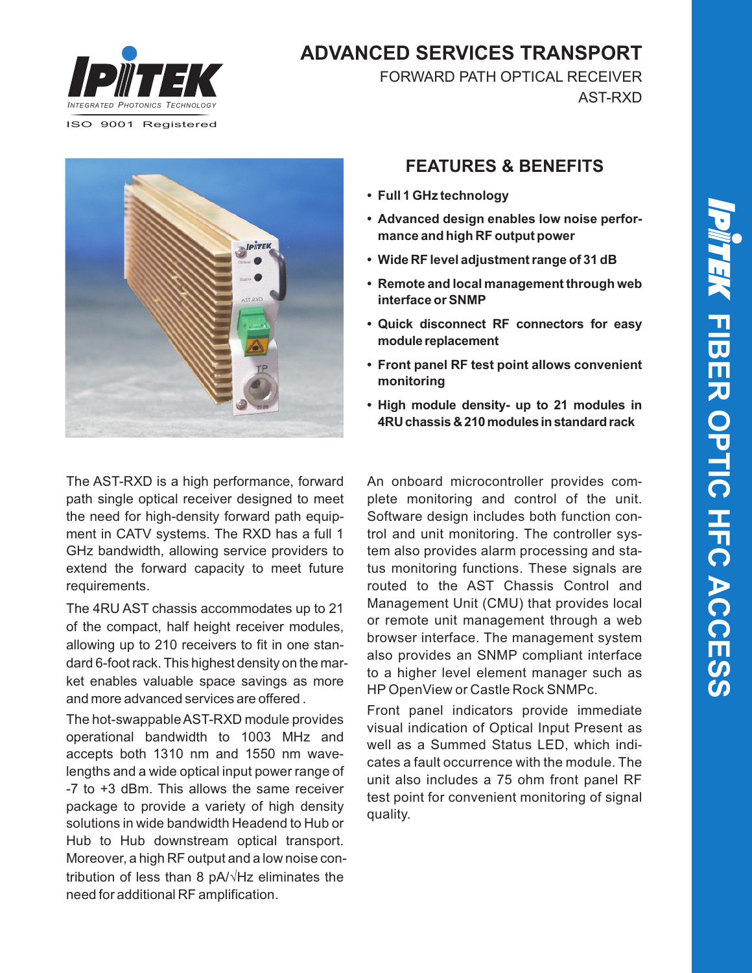

**ADVANCED SERVICES TRANSPORT**

FORWARD PATH OPTICAL RECEIVER AST-RXD



### **FEATURES & BENEFITS**

- **• Full 1 GHz technology**
- **• Advanced design enables low noise performance and high RF output power**
- **• Wide RF level adjustment range of 31 dB**
- **• Remote and local management through web interface or SNMP**
- **• Quick disconnect RF connectors for easy module replacement**
- **• Front panel RF test point allows convenient monitoring**
- **• High module density- up to 21 modules in 4RUchassis&210modules instandardrack**

The AST-RXD is a high performance, forward path single optical receiver designed to meet the need for high-density forward path equipment in CATV systems. The RXD has a full 1 GHz bandwidth, allowing service providers to extend the forward capacity to meet future requirements.

The 4RU AST chassis accommodates up to 21 of the compact, half height receiver modules, allowing up to 210 receivers to fit in one standard 6-foot rack. This highest density on the market enables valuable space savings as more and more advanced services are offered .

The hot-swappable AST-RXD module provides operational bandwidth to 1003 MHz and accepts both 1310 nm and 1550 nm wavelengths and a wide optical input power range of -7 to +3 dBm. This allows the same receiver package to provide a variety of high density solutions in wide bandwidth Headend to Hub or Hub to Hub downstream optical transport. Moreover, a high RF output and a low noise contribution of less than 8  $pA/\sqrt{Hz}$  eliminates the need for additional RF amplification.

An onboard microcontroller provides complete monitoring and control of the unit. Software design includes both function control and unit monitoring. The controller system also provides alarm processing and status monitoring functions. These signals are routed to the AST Chassis Control and Management Unit (CMU) that provides local or remote unit management through a web browser interface. The management system also provides an SNMP compliant interface to a higher level element manager such as HP OpenView or Castle Rock SNMPc.

Front panel indicators provide immediate visual indication of Optical Input Present as well as a Summed Status LED, which indicates a fault occurrence with the module. The unit also includes a 75 ohm front panel RF test point for convenient monitoring of signal quality.